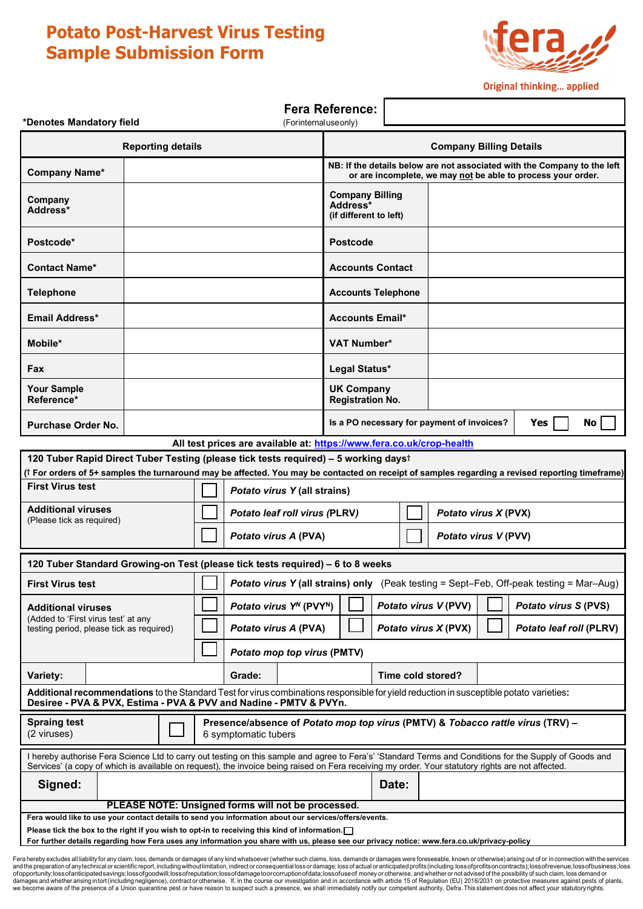# **Potato Post-Harvest Virus Testing Sample Submission Form**



**Original thinking... applied** 

| <b>Fera Reference:</b><br>*Denotes Mandatory field<br>(Forinternaluse only)                                                                                                                                                                                                                                  |       |  |                                                                                                                                             |                                                                                                                                          |                   |                                            |                             |                                |
|--------------------------------------------------------------------------------------------------------------------------------------------------------------------------------------------------------------------------------------------------------------------------------------------------------------|-------|--|---------------------------------------------------------------------------------------------------------------------------------------------|------------------------------------------------------------------------------------------------------------------------------------------|-------------------|--------------------------------------------|-----------------------------|--------------------------------|
| <b>Reporting details</b>                                                                                                                                                                                                                                                                                     |       |  |                                                                                                                                             | <b>Company Billing Details</b>                                                                                                           |                   |                                            |                             |                                |
| <b>Company Name*</b>                                                                                                                                                                                                                                                                                         |       |  |                                                                                                                                             | NB: If the details below are not associated with the Company to the left<br>or are incomplete, we may not be able to process your order. |                   |                                            |                             |                                |
| Company<br>Address*                                                                                                                                                                                                                                                                                          |       |  |                                                                                                                                             | <b>Company Billing</b><br>Address*<br>(if different to left)                                                                             |                   |                                            |                             |                                |
| Postcode*                                                                                                                                                                                                                                                                                                    |       |  |                                                                                                                                             | <b>Postcode</b>                                                                                                                          |                   |                                            |                             |                                |
| <b>Contact Name*</b>                                                                                                                                                                                                                                                                                         |       |  |                                                                                                                                             | <b>Accounts Contact</b>                                                                                                                  |                   |                                            |                             |                                |
| <b>Telephone</b>                                                                                                                                                                                                                                                                                             |       |  |                                                                                                                                             | <b>Accounts Telephone</b>                                                                                                                |                   |                                            |                             |                                |
| Email Address*                                                                                                                                                                                                                                                                                               |       |  |                                                                                                                                             | <b>Accounts Email*</b>                                                                                                                   |                   |                                            |                             |                                |
| Mobile*                                                                                                                                                                                                                                                                                                      |       |  |                                                                                                                                             | <b>VAT Number*</b>                                                                                                                       |                   |                                            |                             |                                |
| Fax                                                                                                                                                                                                                                                                                                          |       |  |                                                                                                                                             | Legal Status*                                                                                                                            |                   |                                            |                             |                                |
| <b>Your Sample</b><br>Reference*                                                                                                                                                                                                                                                                             |       |  |                                                                                                                                             | <b>UK Company</b><br><b>Registration No.</b>                                                                                             |                   |                                            |                             |                                |
| Purchase Order No.                                                                                                                                                                                                                                                                                           |       |  |                                                                                                                                             |                                                                                                                                          |                   | Is a PO necessary for payment of invoices? |                             | No<br>Yes                      |
| All test prices are available at: https://www.fera.co.uk/crop-health                                                                                                                                                                                                                                         |       |  |                                                                                                                                             |                                                                                                                                          |                   |                                            |                             |                                |
| 120 Tuber Rapid Direct Tuber Testing (please tick tests required) - 5 working dayst                                                                                                                                                                                                                          |       |  |                                                                                                                                             |                                                                                                                                          |                   |                                            |                             |                                |
| († For orders of 5+ samples the turnaround may be affected. You may be contacted on receipt of samples regarding a revised reporting timeframe)                                                                                                                                                              |       |  |                                                                                                                                             |                                                                                                                                          |                   |                                            |                             |                                |
| <b>First Virus test</b>                                                                                                                                                                                                                                                                                      |       |  | Potato virus Y (all strains)                                                                                                                |                                                                                                                                          |                   |                                            |                             |                                |
| <b>Additional viruses</b><br>(Please tick as required)                                                                                                                                                                                                                                                       |       |  | Potato leaf roll virus (PLRV)                                                                                                               |                                                                                                                                          |                   | Potato virus X (PVX)                       |                             |                                |
|                                                                                                                                                                                                                                                                                                              |       |  | Potato virus A (PVA)                                                                                                                        |                                                                                                                                          |                   | Potato virus V (PVV)                       |                             |                                |
| 120 Tuber Standard Growing-on Test (please tick tests required) - 6 to 8 weeks                                                                                                                                                                                                                               |       |  |                                                                                                                                             |                                                                                                                                          |                   |                                            |                             |                                |
| <b>First Virus test</b>                                                                                                                                                                                                                                                                                      |       |  | <b>Potato virus Y (all strains) only</b> (Peak testing = Sept-Feb, Off-peak testing = Mar-Aug)                                              |                                                                                                                                          |                   |                                            |                             |                                |
| <b>Additional viruses</b><br>(Added to 'First virus test' at any<br>testing period, please tick as required)                                                                                                                                                                                                 |       |  | Potato virus Y <sup>N</sup> (PVY <sup>N</sup> )<br>Potato virus V (PVV)                                                                     |                                                                                                                                          |                   |                                            | <b>Potato virus S (PVS)</b> |                                |
|                                                                                                                                                                                                                                                                                                              |       |  | Potato virus A (PVA)<br>Potato virus X (PVX)                                                                                                |                                                                                                                                          |                   |                                            |                             | <b>Potato leaf roll (PLRV)</b> |
|                                                                                                                                                                                                                                                                                                              |       |  | Potato mop top virus (PMTV)                                                                                                                 |                                                                                                                                          |                   |                                            |                             |                                |
| Variety:                                                                                                                                                                                                                                                                                                     |       |  | Grade:                                                                                                                                      |                                                                                                                                          | Time cold stored? |                                            |                             |                                |
| Additional recommendations to the Standard Test for virus combinations responsible for yield reduction in susceptible potato varieties:<br>Desiree - PVA & PVX, Estima - PVA & PVV and Nadine - PMTV & PVYn.                                                                                                 |       |  |                                                                                                                                             |                                                                                                                                          |                   |                                            |                             |                                |
| <b>Spraing test</b><br>Presence/absence of Potato mop top virus (PMTV) & Tobacco rattle virus (TRV) -<br>(2 viruses)<br>6 symptomatic tubers                                                                                                                                                                 |       |  |                                                                                                                                             |                                                                                                                                          |                   |                                            |                             |                                |
| I hereby authorise Fera Science Ltd to carry out testing on this sample and agree to Fera's' 'Standard Terms and Conditions for the Supply of Goods and<br>Services' (a copy of which is available on request), the invoice being raised on Fera receiving my order. Your statutory rights are not affected. |       |  |                                                                                                                                             |                                                                                                                                          |                   |                                            |                             |                                |
| Signed:                                                                                                                                                                                                                                                                                                      | Date: |  |                                                                                                                                             |                                                                                                                                          |                   |                                            |                             |                                |
| PLEASE NOTE: Unsigned forms will not be processed.<br>Fera would like to use your contact details to send you information about our services/offers/events.                                                                                                                                                  |       |  |                                                                                                                                             |                                                                                                                                          |                   |                                            |                             |                                |
|                                                                                                                                                                                                                                                                                                              |       |  | Please tick the box to the right if you wish to opt-in to receiving this kind of information. $\Box$                                        |                                                                                                                                          |                   |                                            |                             |                                |
|                                                                                                                                                                                                                                                                                                              |       |  | For further details regarding how Fera uses any information you share with us, please see our privacy notice: www.fera.co.uk/privacy-policy |                                                                                                                                          |                   |                                            |                             |                                |
| ra hereby excludes all liability for any claim, loss, demands or damages of any kind whatsoever (whether such claims, loss, demands or damages were foreseeable, known or otherwise) arising out of or in connection with the                                                                                |       |  |                                                                                                                                             |                                                                                                                                          |                   |                                            |                             |                                |

Fera hereby excludes all liability for any claim, loss, demands or damages of any kind whatsoever (whether such claims, loss, demands or damages were foreseeable, known or otherwise) arising out of or in connection with th